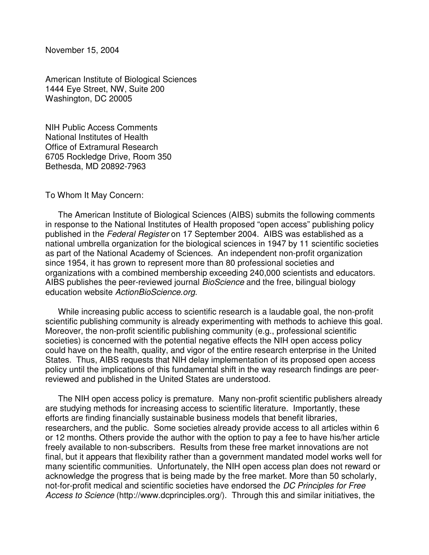November 15, 2004

American Institute of Biological Sciences 1444 Eye Street, NW, Suite 200 Washington, DC 20005

NIH Public Access Comments National Institutes of Health Office of Extramural Research 6705 Rockledge Drive, Room 350 Bethesda, MD 20892-7963

## To Whom It May Concern:

The American Institute of Biological Sciences (AIBS) submits the following comments in response to the National Institutes of Health proposed "open access" publishing policy published in the *Federal Register* on 17 September 2004. AIBS was established as a national umbrella organization for the biological sciences in 1947 by 11 scientific societies as part of the National Academy of Sciences. An independent non-profit organization since 1954, it has grown to represent more than 80 professional societies and organizations with a combined membership exceeding 240,000 scientists and educators. AIBS publishes the peer-reviewed journal *BioScience* and the free, bilingual biology education website *ActionBioScience.org*.

While increasing public access to scientific research is a laudable goal, the non-profit scientific publishing community is already experimenting with methods to achieve this goal. Moreover, the non-profit scientific publishing community (e.g., professional scientific societies) is concerned with the potential negative effects the NIH open access policy could have on the health, quality, and vigor of the entire research enterprise in the United States. Thus, AIBS requests that NIH delay implementation of its proposed open access policy until the implications of this fundamental shift in the way research findings are peerreviewed and published in the United States are understood.

The NIH open access policy is premature. Many non-profit scientific publishers already are studying methods for increasing access to scientific literature. Importantly, these efforts are finding financially sustainable business models that benefit libraries, researchers, and the public. Some societies already provide access to all articles within 6 or 12 months. Others provide the author with the option to pay a fee to have his/her article freely available to non-subscribers. Results from these free market innovations are not final, but it appears that flexibility rather than a government mandated model works well for many scientific communities. Unfortunately, the NIH open access plan does not reward or acknowledge the progress that is being made by the free market. More than 50 scholarly, not-for-profit medical and scientific societies have endorsed the *DC Principles for Free Access to Science* (http://www.dcprinciples.org/). Through this and similar initiatives, the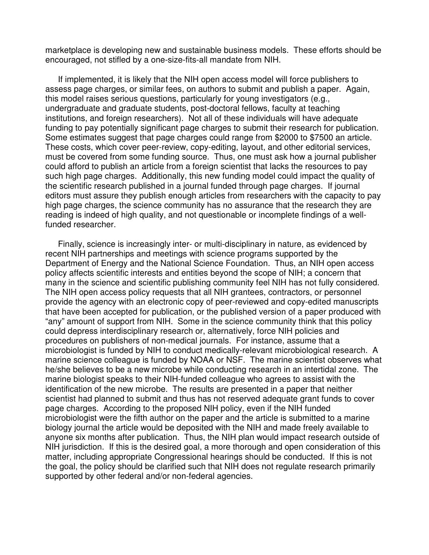marketplace is developing new and sustainable business models. These efforts should be encouraged, not stifled by a one-size-fits-all mandate from NIH.

If implemented, it is likely that the NIH open access model will force publishers to assess page charges, or similar fees, on authors to submit and publish a paper. Again, this model raises serious questions, particularly for young investigators (e.g., undergraduate and graduate students, post-doctoral fellows, faculty at teaching institutions, and foreign researchers). Not all of these individuals will have adequate funding to pay potentially significant page charges to submit their research for publication. Some estimates suggest that page charges could range from \$2000 to \$7500 an article. These costs, which cover peer-review, copy-editing, layout, and other editorial services, must be covered from some funding source. Thus, one must ask how a journal publisher could afford to publish an article from a foreign scientist that lacks the resources to pay such high page charges. Additionally, this new funding model could impact the quality of the scientific research published in a journal funded through page charges. If journal editors must assure they publish enough articles from researchers with the capacity to pay high page charges, the science community has no assurance that the research they are reading is indeed of high quality, and not questionable or incomplete findings of a wellfunded researcher.

Finally, science is increasingly inter- or multi-disciplinary in nature, as evidenced by recent NIH partnerships and meetings with science programs supported by the Department of Energy and the National Science Foundation. Thus, an NIH open access policy affects scientific interests and entities beyond the scope of NIH; a concern that many in the science and scientific publishing community feel NIH has not fully considered. The NIH open access policy requests that all NIH grantees, contractors, or personnel provide the agency with an electronic copy of peer-reviewed and copy-edited manuscripts that have been accepted for publication, or the published version of a paper produced with "any" amount of support from NIH. Some in the science community think that this policy could depress interdisciplinary research or, alternatively, force NIH policies and procedures on publishers of non-medical journals. For instance, assume that a microbiologist is funded by NIH to conduct medically-relevant microbiological research. A marine science colleague is funded by NOAA or NSF. The marine scientist observes what he/she believes to be a new microbe while conducting research in an intertidal zone. The marine biologist speaks to their NIH-funded colleague who agrees to assist with the identification of the new microbe. The results are presented in a paper that neither scientist had planned to submit and thus has not reserved adequate grant funds to cover page charges. According to the proposed NIH policy, even if the NIH funded microbiologist were the fifth author on the paper and the article is submitted to a marine biology journal the article would be deposited with the NIH and made freely available to anyone six months after publication. Thus, the NIH plan would impact research outside of NIH jurisdiction. If this is the desired goal, a more thorough and open consideration of this matter, including appropriate Congressional hearings should be conducted. If this is not the goal, the policy should be clarified such that NIH does not regulate research primarily supported by other federal and/or non-federal agencies.